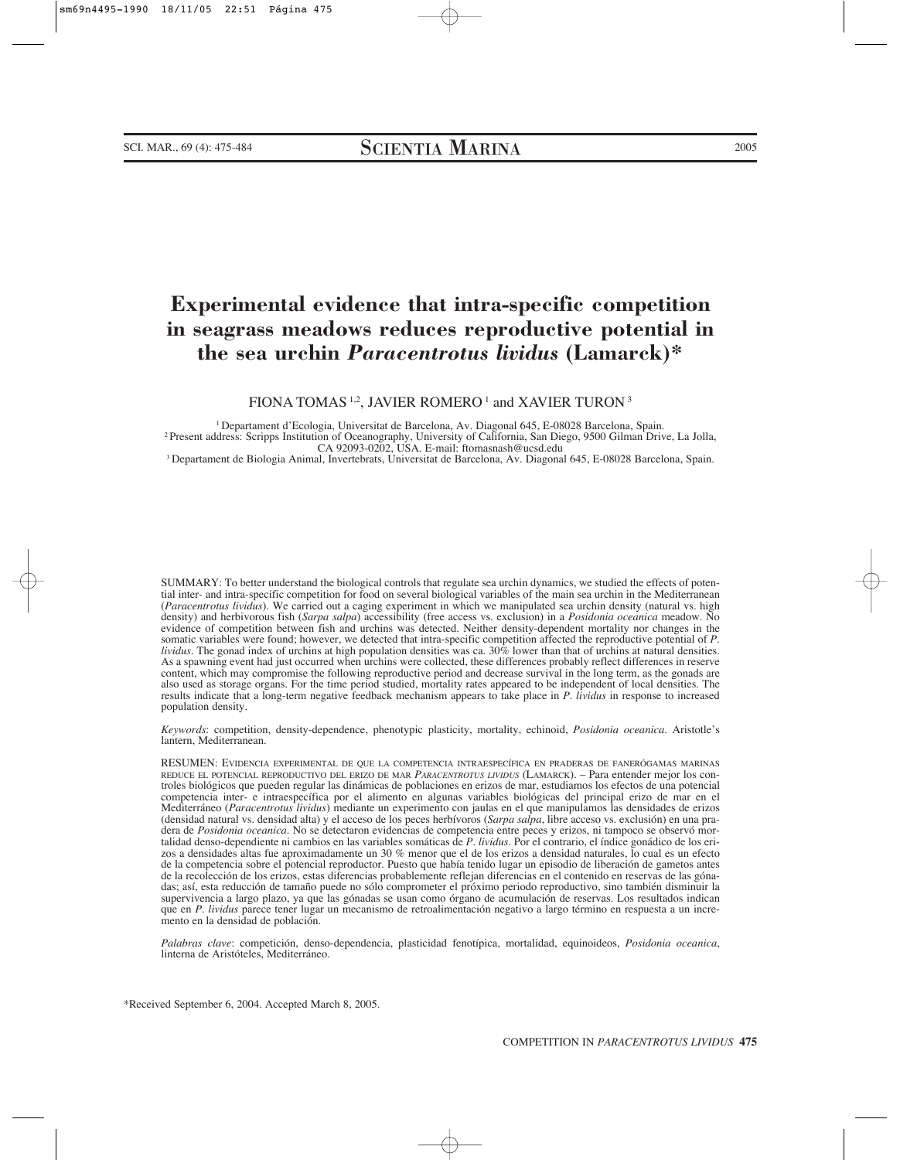# **Experimental evidence that intra-specific competition in seagrass meadows reduces reproductive potential in the sea urchin** *Paracentrotus lividus* **(Lamarck)\***

FIONA TOMAS<sup>1,2</sup>, JAVIER ROMERO<sup>1</sup> and XAVIER TURON<sup>3</sup>

1 Departament d'Ecologia, Universitat de Barcelona, Av. Diagonal 645, E-08028 Barcelona, Spain. 2 Present address: Scripps Institution of Oceanography, University of California, San Diego, 9500 Gilman Drive, La Jolla,

<sup>3</sup> Departament de Biologia Animal, Invertebrats, Universitat de Barcelona, Av. Diagonal 645, E-08028 Barcelona, Spain.

SUMMARY: To better understand the biological controls that regulate sea urchin dynamics, we studied the effects of potential inter- and intra-specific competition for food on several biological variables of the main sea urchin in the Mediterranean (*Paracentrotus lividus*). We carried out a caging experiment in which we manipulated sea urchin density (natural vs. high density) and herbivorous fish (*Sarpa salpa*) accessibility (free access vs. exclusion) in a *Posidonia oceanica* meadow. No evidence of competition between fish and urchins was detected. Neither density-dependent mortality nor changes in the somatic variables were found; however, we detected that intra-specific competition affected the reproductive potential of *P. lividus.* The gonad index of urchins at high population densities was ca. 30% lower than that of urchins at natural densities. As a spawning event had just occurred when urchins were collected, these differences probably reflect differences in reserve content, which may compromise the following reproductive period and decrease survival in the long term, as the gonads are also used as storage organs. For the time period studied, mortality rates appeared to be independent of local densities. The results indicate that a long-term negative feedback mechanism appears to take place in *P*. *lividus* in response to increased population density.

*Keywords*: competition, density-dependence, phenotypic plasticity, mortality, echinoid, *Posidonia oceanica*. Aristotle's lantern, Mediterranean.

RESUMEN: EVIDENCIA EXPERIMENTAL DE QUE LA COMPETENCIA INTRAESPECÍFICA EN PRADERAS DE FANERÓGAMAS MARINAS REDUCE EL POTENCIAL REPRODUCTIVO DEL ERIZO DE MAR *PARACENTROTUS LIVIDUS* (LAMARCK). – Para entender mejor los controles biológicos que pueden regular las dinámicas de poblaciones en erizos de mar, estudiamos los efectos de una potencial competencia inter- e intraespecífica por el alimento en algunas variables biológicas del principal erizo de mar en el Mediterráneo (*Paracentrotus lividus*) mediante un experimento con jaulas en el que manipulamos las densidades de erizos (densidad natural vs. densidad alta) y el acceso de los peces herbívoros (*Sarpa salpa*, libre acceso vs. exclusión) en una pradera de *Posidonia oceanica*. No se detectaron evidencias de competencia entre peces y erizos, ni tampoco se observó mortalidad denso-dependiente ni cambios en las variables somáticas de *P. lividus*. Por el contrario, el índice gonádico de los erizos a densidades altas fue aproximadamente un 30 % menor que el de los erizos a densidad naturales, lo cual es un efecto de la competencia sobre el potencial reproductor. Puesto que había tenido lugar un episodio de liberación de gametos antes de la recolección de los erizos, estas diferencias probablemente reflejan diferencias en el contenido en reservas de las gónadas; así, esta reducción de tamaño puede no sólo comprometer el próximo periodo reproductivo, sino también disminuir la supervivencia a largo plazo, ya que las gónadas se usan como órgano de acumulación de reservas. Los resultados indican que en *P. lividus* parece tener lugar un mecanismo de retroalimentación negativo a largo término en respuesta a un incremento en la densidad de población.

*Palabras clave*: competición, denso-dependencia, plasticidad fenotípica, mortalidad, equinoideos, *Posidonia oceanica*, linterna de Aristóteles, Mediterráneo.

\*Received September 6, 2004. Accepted March 8, 2005.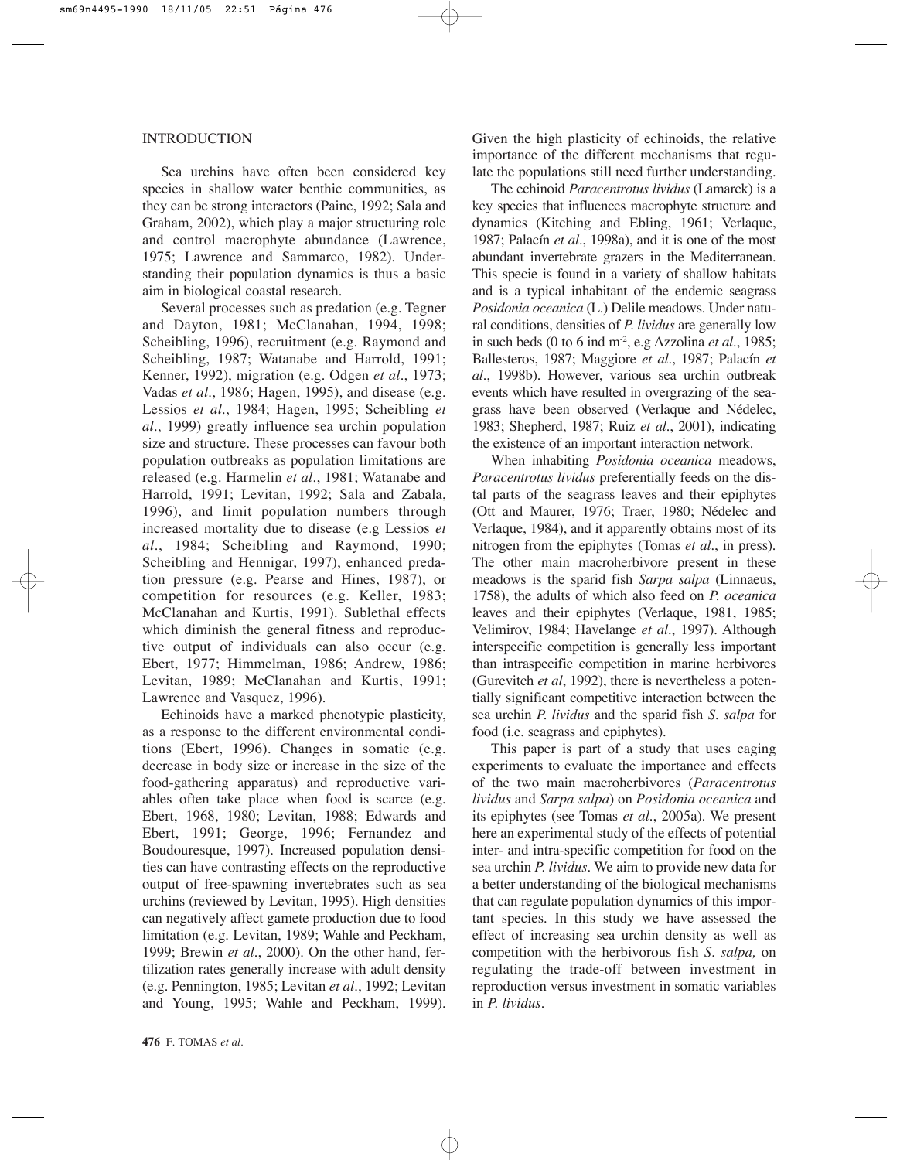## INTRODUCTION

Sea urchins have often been considered key species in shallow water benthic communities, as they can be strong interactors (Paine, 1992; Sala and Graham, 2002), which play a major structuring role and control macrophyte abundance (Lawrence, 1975; Lawrence and Sammarco, 1982). Understanding their population dynamics is thus a basic aim in biological coastal research.

Several processes such as predation (e.g. Tegner and Dayton, 1981; McClanahan, 1994, 1998; Scheibling, 1996), recruitment (e.g. Raymond and Scheibling, 1987; Watanabe and Harrold, 1991; Kenner, 1992), migration (e.g. Odgen *et al*., 1973; Vadas *et al*., 1986; Hagen, 1995), and disease (e.g. Lessios *et al*., 1984; Hagen, 1995; Scheibling *et al*., 1999) greatly influence sea urchin population size and structure. These processes can favour both population outbreaks as population limitations are released (e.g. Harmelin *et al*., 1981; Watanabe and Harrold, 1991; Levitan, 1992; Sala and Zabala, 1996), and limit population numbers through increased mortality due to disease (e.g Lessios *et al*., 1984; Scheibling and Raymond, 1990; Scheibling and Hennigar, 1997), enhanced predation pressure (e.g. Pearse and Hines, 1987), or competition for resources (e.g. Keller, 1983; McClanahan and Kurtis, 1991). Sublethal effects which diminish the general fitness and reproductive output of individuals can also occur (e.g. Ebert, 1977; Himmelman, 1986; Andrew, 1986; Levitan, 1989; McClanahan and Kurtis, 1991; Lawrence and Vasquez, 1996).

Echinoids have a marked phenotypic plasticity, as a response to the different environmental conditions (Ebert, 1996). Changes in somatic (e.g. decrease in body size or increase in the size of the food-gathering apparatus) and reproductive variables often take place when food is scarce (e.g. Ebert, 1968, 1980; Levitan, 1988; Edwards and Ebert, 1991; George, 1996; Fernandez and Boudouresque, 1997). Increased population densities can have contrasting effects on the reproductive output of free-spawning invertebrates such as sea urchins (reviewed by Levitan, 1995). High densities can negatively affect gamete production due to food limitation (e.g. Levitan, 1989; Wahle and Peckham, 1999; Brewin *et al*., 2000). On the other hand, fertilization rates generally increase with adult density (e.g. Pennington, 1985; Levitan *et al*., 1992; Levitan and Young, 1995; Wahle and Peckham, 1999). Given the high plasticity of echinoids, the relative importance of the different mechanisms that regulate the populations still need further understanding.

The echinoid *Paracentrotus lividus* (Lamarck) is a key species that influences macrophyte structure and dynamics (Kitching and Ebling, 1961; Verlaque, 1987; Palacín *et al*., 1998a), and it is one of the most abundant invertebrate grazers in the Mediterranean. This specie is found in a variety of shallow habitats and is a typical inhabitant of the endemic seagrass *Posidonia oceanica* (L.) Delile meadows. Under natural conditions, densities of *P. lividus* are generally low in such beds (0 to 6 ind m-2, e.g Azzolina *et al*., 1985; Ballesteros, 1987; Maggiore *et al*., 1987; Palacín *et al*., 1998b). However, various sea urchin outbreak events which have resulted in overgrazing of the seagrass have been observed (Verlaque and Nédelec, 1983; Shepherd, 1987; Ruiz *et al*., 2001), indicating the existence of an important interaction network.

When inhabiting *Posidonia oceanica* meadows, *Paracentrotus lividus* preferentially feeds on the distal parts of the seagrass leaves and their epiphytes (Ott and Maurer, 1976; Traer, 1980; Nédelec and Verlaque, 1984), and it apparently obtains most of its nitrogen from the epiphytes (Tomas *et al*., in press). The other main macroherbivore present in these meadows is the sparid fish *Sarpa salpa* (Linnaeus, 1758), the adults of which also feed on *P. oceanica* leaves and their epiphytes (Verlaque, 1981, 1985; Velimirov, 1984; Havelange *et al*., 1997). Although interspecific competition is generally less important than intraspecific competition in marine herbivores (Gurevitch *et al*, 1992), there is nevertheless a potentially significant competitive interaction between the sea urchin *P. lividus* and the sparid fish *S. salpa* for food (i.e. seagrass and epiphytes).

This paper is part of a study that uses caging experiments to evaluate the importance and effects of the two main macroherbivores (*Paracentrotus lividus* and *Sarpa salpa*) on *Posidonia oceanica* and its epiphytes (see Tomas *et al*., 2005a). We present here an experimental study of the effects of potential inter- and intra-specific competition for food on the sea urchin *P. lividus*. We aim to provide new data for a better understanding of the biological mechanisms that can regulate population dynamics of this important species. In this study we have assessed the effect of increasing sea urchin density as well as competition with the herbivorous fish *S. salpa,* on regulating the trade-off between investment in reproduction versus investment in somatic variables in *P. lividus*.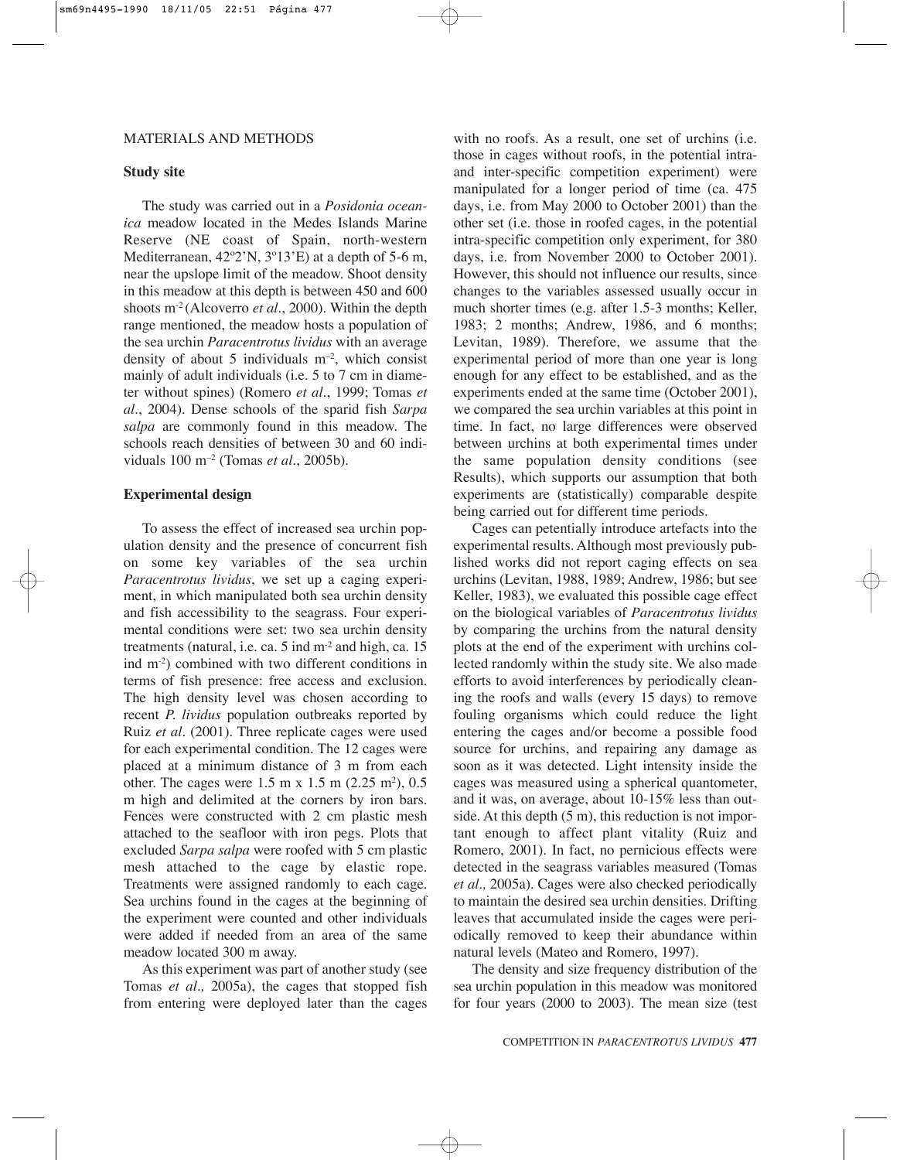#### MATERIALS AND METHODS

#### **Study site**

The study was carried out in a *Posidonia oceanica* meadow located in the Medes Islands Marine Reserve (NE coast of Spain, north-western Mediterranean, 42º2'N, 3º13'E) at a depth of 5-6 m, near the upslope limit of the meadow. Shoot density in this meadow at this depth is between 450 and 600 shoots m-2 (Alcoverro *et al.*, 2000). Within the depth range mentioned, the meadow hosts a population of the sea urchin *Paracentrotus lividus* with an average density of about 5 individuals  $m<sup>-2</sup>$ , which consist mainly of adult individuals (i.e. 5 to 7 cm in diameter without spines) (Romero *et al*., 1999; Tomas *et al*., 2004). Dense schools of the sparid fish *Sarpa salpa* are commonly found in this meadow. The schools reach densities of between 30 and 60 individuals 100 m–2 (Tomas *et al.*, 2005b).

## **Experimental design**

To assess the effect of increased sea urchin population density and the presence of concurrent fish on some key variables of the sea urchin *Paracentrotus lividus*, we set up a caging experiment, in which manipulated both sea urchin density and fish accessibility to the seagrass. Four experimental conditions were set: two sea urchin density treatments (natural, i.e. ca. 5 ind m-2 and high, ca. 15 ind m-2) combined with two different conditions in terms of fish presence: free access and exclusion. The high density level was chosen according to recent *P. lividus* population outbreaks reported by Ruiz *et al.* (2001). Three replicate cages were used for each experimental condition. The 12 cages were placed at a minimum distance of 3 m from each other. The cages were  $1.5 \text{ m} \times 1.5 \text{ m} (2.25 \text{ m}^2), 0.5$ m high and delimited at the corners by iron bars. Fences were constructed with 2 cm plastic mesh attached to the seafloor with iron pegs. Plots that excluded *Sarpa salpa* were roofed with 5 cm plastic mesh attached to the cage by elastic rope. Treatments were assigned randomly to each cage. Sea urchins found in the cages at the beginning of the experiment were counted and other individuals were added if needed from an area of the same meadow located 300 m away.

As this experiment was part of another study (see Tomas *et al.,* 2005a), the cages that stopped fish from entering were deployed later than the cages with no roofs. As a result, one set of urchins *(i.e.*) those in cages without roofs, in the potential intraand inter-specific competition experiment) were manipulated for a longer period of time (ca. 475 days, i.e. from May 2000 to October 2001) than the other set (i.e. those in roofed cages, in the potential intra-specific competition only experiment, for 380 days, i.e. from November 2000 to October 2001). However, this should not influence our results, since changes to the variables assessed usually occur in much shorter times (e.g. after 1.5-3 months; Keller, 1983; 2 months; Andrew, 1986, and 6 months; Levitan, 1989). Therefore, we assume that the experimental period of more than one year is long enough for any effect to be established, and as the experiments ended at the same time (October 2001), we compared the sea urchin variables at this point in time. In fact, no large differences were observed between urchins at both experimental times under the same population density conditions (see Results), which supports our assumption that both experiments are (statistically) comparable despite being carried out for different time periods.

Cages can petentially introduce artefacts into the experimental results. Although most previously published works did not report caging effects on sea urchins (Levitan, 1988, 1989; Andrew, 1986; but see Keller, 1983), we evaluated this possible cage effect on the biological variables of *Paracentrotus lividus* by comparing the urchins from the natural density plots at the end of the experiment with urchins collected randomly within the study site. We also made efforts to avoid interferences by periodically cleaning the roofs and walls (every 15 days) to remove fouling organisms which could reduce the light entering the cages and/or become a possible food source for urchins, and repairing any damage as soon as it was detected. Light intensity inside the cages was measured using a spherical quantometer, and it was, on average, about 10-15% less than outside. At this depth  $(5 \text{ m})$ , this reduction is not important enough to affect plant vitality (Ruiz and Romero, 2001). In fact, no pernicious effects were detected in the seagrass variables measured (Tomas *et al.,* 2005a). Cages were also checked periodically to maintain the desired sea urchin densities. Drifting leaves that accumulated inside the cages were periodically removed to keep their abundance within natural levels (Mateo and Romero, 1997).

The density and size frequency distribution of the sea urchin population in this meadow was monitored for four years (2000 to 2003). The mean size (test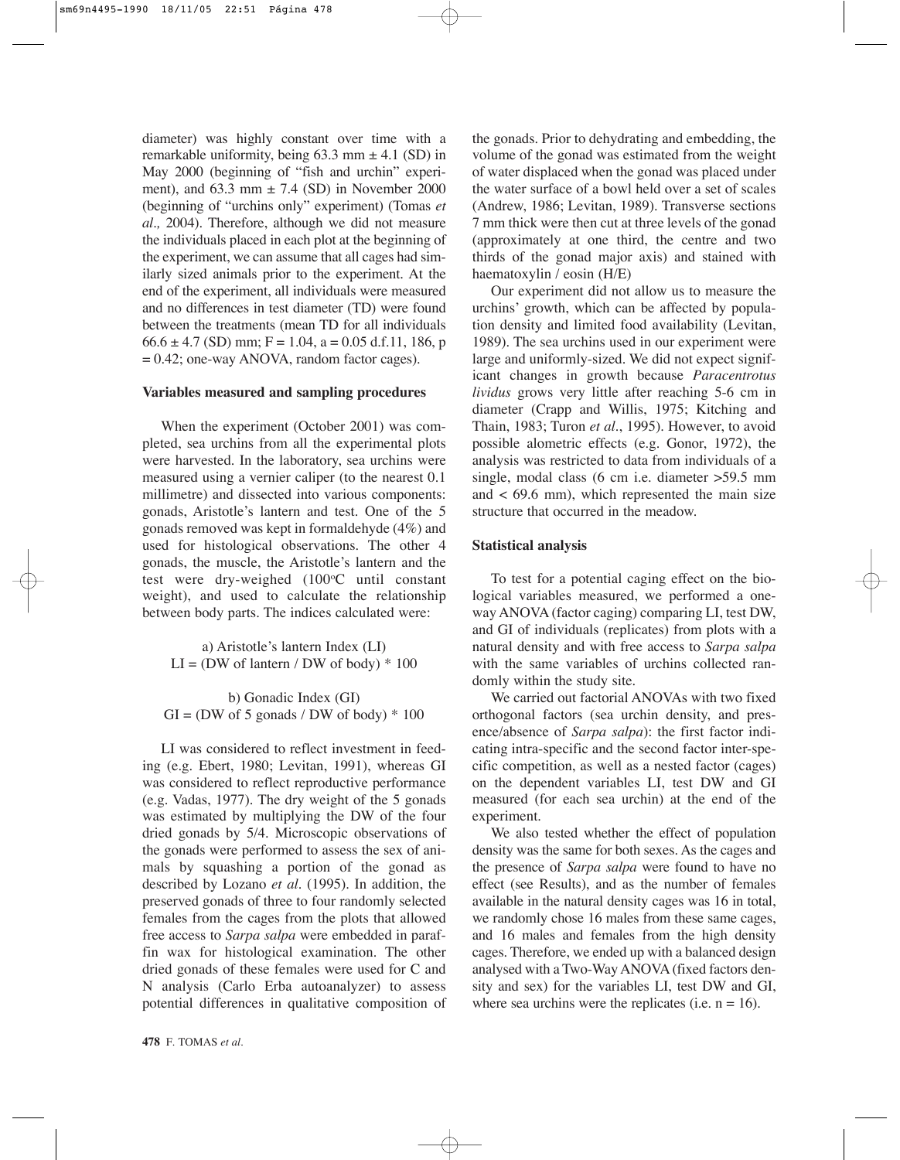diameter) was highly constant over time with a remarkable uniformity, being  $63.3$  mm  $\pm$  4.1 (SD) in May 2000 (beginning of "fish and urchin" experiment), and  $63.3$  mm  $\pm 7.4$  (SD) in November 2000 (beginning of "urchins only" experiment) (Tomas *et al.,* 2004). Therefore, although we did not measure the individuals placed in each plot at the beginning of the experiment, we can assume that all cages had similarly sized animals prior to the experiment. At the end of the experiment, all individuals were measured and no differences in test diameter (TD) were found between the treatments (mean TD for all individuals  $66.6 \pm 4.7$  (SD) mm; F = 1.04, a = 0.05 d.f.11, 186, p  $= 0.42$ ; one-way ANOVA, random factor cages).

## **Variables measured and sampling procedures**

When the experiment (October 2001) was completed, sea urchins from all the experimental plots were harvested. In the laboratory, sea urchins were measured using a vernier caliper (to the nearest 0.1 millimetre) and dissected into various components: gonads, Aristotle's lantern and test. One of the 5 gonads removed was kept in formaldehyde (4%) and used for histological observations. The other 4 gonads, the muscle, the Aristotle's lantern and the test were dry-weighed (100<sup>o</sup>C until constant weight), and used to calculate the relationship between body parts. The indices calculated were:

a) Aristotle's lantern Index (LI)  $LI = (DW \text{ of }lantern / DW \text{ of }body) * 100$ 

b) Gonadic Index (GI)  $GI = (DW \text{ of } 5 \text{ gonads } / DW \text{ of } body) * 100$ 

LI was considered to reflect investment in feeding (e.g. Ebert, 1980; Levitan, 1991), whereas GI was considered to reflect reproductive performance (e.g. Vadas, 1977). The dry weight of the 5 gonads was estimated by multiplying the DW of the four dried gonads by 5/4. Microscopic observations of the gonads were performed to assess the sex of animals by squashing a portion of the gonad as described by Lozano *et al*. (1995). In addition, the preserved gonads of three to four randomly selected females from the cages from the plots that allowed free access to *Sarpa salpa* were embedded in paraffin wax for histological examination. The other dried gonads of these females were used for C and N analysis (Carlo Erba autoanalyzer) to assess potential differences in qualitative composition of the gonads. Prior to dehydrating and embedding, the volume of the gonad was estimated from the weight of water displaced when the gonad was placed under the water surface of a bowl held over a set of scales (Andrew, 1986; Levitan, 1989). Transverse sections 7 mm thick were then cut at three levels of the gonad (approximately at one third, the centre and two thirds of the gonad major axis) and stained with haematoxylin / eosin (H/E)

Our experiment did not allow us to measure the urchins' growth, which can be affected by population density and limited food availability (Levitan, 1989). The sea urchins used in our experiment were large and uniformly-sized. We did not expect significant changes in growth because *Paracentrotus lividus* grows very little after reaching 5-6 cm in diameter (Crapp and Willis, 1975; Kitching and Thain, 1983; Turon *et al*., 1995). However, to avoid possible alometric effects (e.g. Gonor, 1972), the analysis was restricted to data from individuals of a single, modal class (6 cm i.e. diameter > 59.5 mm and  $\lt$  69.6 mm), which represented the main size structure that occurred in the meadow.

## **Statistical analysis**

To test for a potential caging effect on the biological variables measured, we performed a oneway ANOVA (factor caging) comparing LI, test DW, and GI of individuals (replicates) from plots with a natural density and with free access to *Sarpa salpa* with the same variables of urchins collected randomly within the study site.

We carried out factorial ANOVAs with two fixed orthogonal factors (sea urchin density, and presence/absence of *Sarpa salpa*): the first factor indicating intra-specific and the second factor inter-specific competition, as well as a nested factor (cages) on the dependent variables LI, test DW and GI measured (for each sea urchin) at the end of the experiment.

We also tested whether the effect of population density was the same for both sexes. As the cages and the presence of *Sarpa salpa* were found to have no effect (see Results), and as the number of females available in the natural density cages was 16 in total, we randomly chose 16 males from these same cages, and 16 males and females from the high density cages. Therefore, we ended up with a balanced design analysed with a Two-Way ANOVA (fixed factors density and sex) for the variables LI, test DW and GI, where sea urchins were the replicates (i.e.  $n = 16$ ).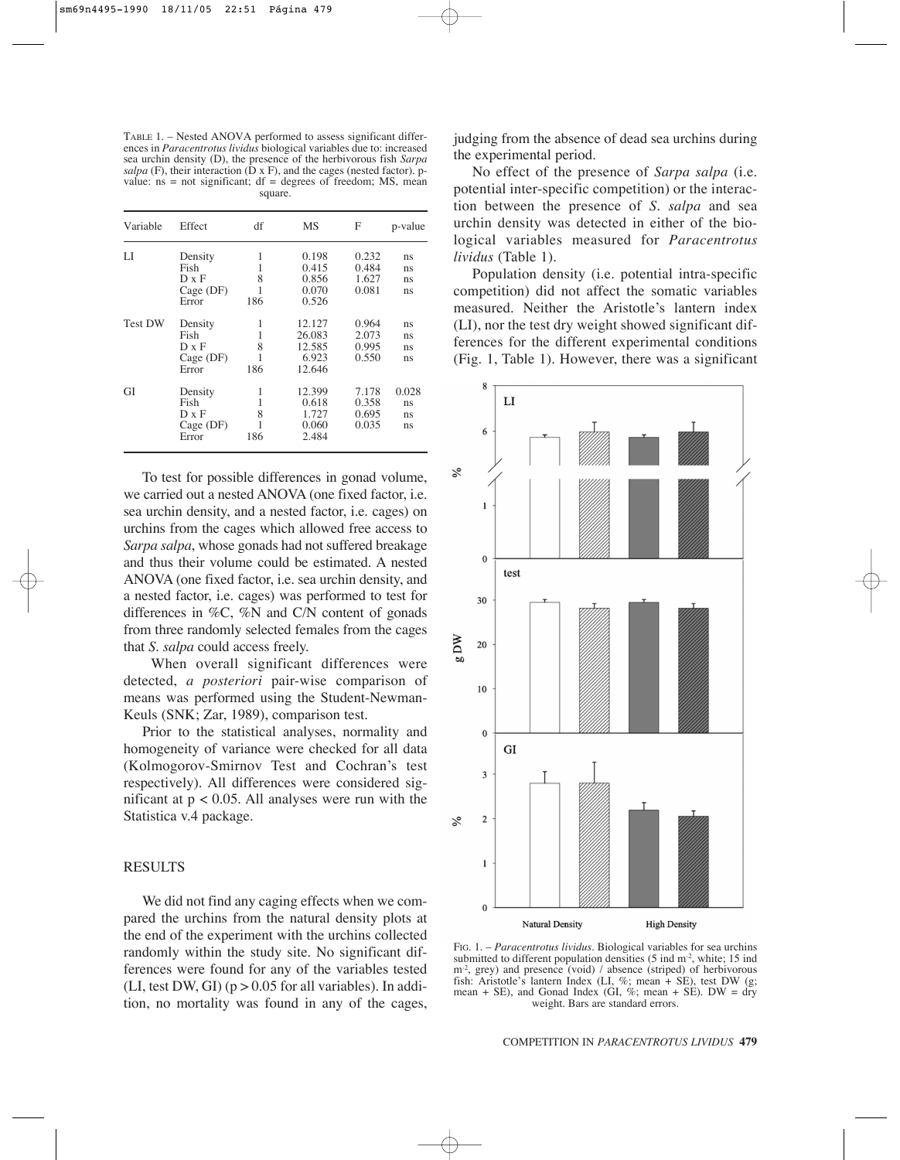TABLE 1. – Nested ANOVA performed to assess significant differences in *Paracentrotus lividus* biological variables due to: increased sea urchin density (D), the presence of the herbivorous fish *Sarpa salpa* (F), their interaction (D x F), and the cages (nested factor). pvalue:  $ns = not significant$ ;  $df = degrees of freedom$ ;  $MS$ ,  $meson$ square.

| Variable       | Effect                                           | df            | MS                                            | F                                | p-value                 |
|----------------|--------------------------------------------------|---------------|-----------------------------------------------|----------------------------------|-------------------------|
| LI             | Density<br>Fish<br>D x F<br>$Cage$ (DF)<br>Error | 8<br>1<br>186 | 0.198<br>0.415<br>0.856<br>0.070<br>0.526     | 0.232<br>0.484<br>1.627<br>0.081 | ns<br>ns<br>ns<br>ns    |
| <b>Test DW</b> | Density<br>Fish<br>D x F<br>$Cage$ (DF)<br>Error | 8<br>186      | 12.127<br>26.083<br>12.585<br>6.923<br>12.646 | 0.964<br>2.073<br>0.995<br>0.550 | ns<br>ns<br>ns<br>ns    |
| GI             | Density<br>Fish<br>D x F<br>$Cage$ (DF)<br>Error | 8<br>1<br>186 | 12.399<br>0.618<br>1.727<br>0.060<br>2.484    | 7.178<br>0.358<br>0.695<br>0.035 | 0.028<br>ns<br>ns<br>ns |

To test for possible differences in gonad volume, we carried out a nested ANOVA (one fixed factor, i.e. sea urchin density, and a nested factor, i.e. cages) on urchins from the cages which allowed free access to *Sarpa salpa*, whose gonads had not suffered breakage and thus their volume could be estimated. A nested ANOVA (one fixed factor, i.e. sea urchin density, and a nested factor, i.e. cages) was performed to test for differences in %C, %N and C/N content of gonads from three randomly selected females from the cages that *S*. *salpa* could access freely.

When overall significant differences were detected, *a posteriori* pair-wise comparison of means was performed using the Student-Newman-Keuls (SNK; Zar, 1989), comparison test.

Prior to the statistical analyses, normality and homogeneity of variance were checked for all data (Kolmogorov-Smirnov Test and Cochran's test respectively). All differences were considered significant at  $p < 0.05$ . All analyses were run with the Statistica v.4 package.

#### RESULTS

We did not find any caging effects when we compared the urchins from the natural density plots at the end of the experiment with the urchins collected randomly within the study site. No significant differences were found for any of the variables tested (LI, test DW, GI) ( $p > 0.05$  for all variables). In addition, no mortality was found in any of the cages, judging from the absence of dead sea urchins during the experimental period.

No effect of the presence of *Sarpa salpa* (i.e. potential inter-specific competition) or the interaction between the presence of *S. salpa* and sea urchin density was detected in either of the biological variables measured for *Paracentrotus lividus* (Table 1).

Population density (i.e. potential intra-specific competition) did not affect the somatic variables measured. Neither the Aristotle's lantern index (LI), nor the test dry weight showed significant differences for the different experimental conditions (Fig. 1, Table 1). However, there was a significant



FIG. 1. – *Paracentrotus lividus*. Biological variables for sea urchins submitted to different population densities (5 ind m<sup>-2</sup>, white; 15 ind m<sup>-2</sup>, grey) and presence (void) / absence (striped) of herbivorous fish: Aristotle's lantern Index (LI, %; mean + SE), test DW (g; mean + SE), and Gonad Index (GI,  $\%$ ; mean + SE). DW = dry weight. Bars are standard errors.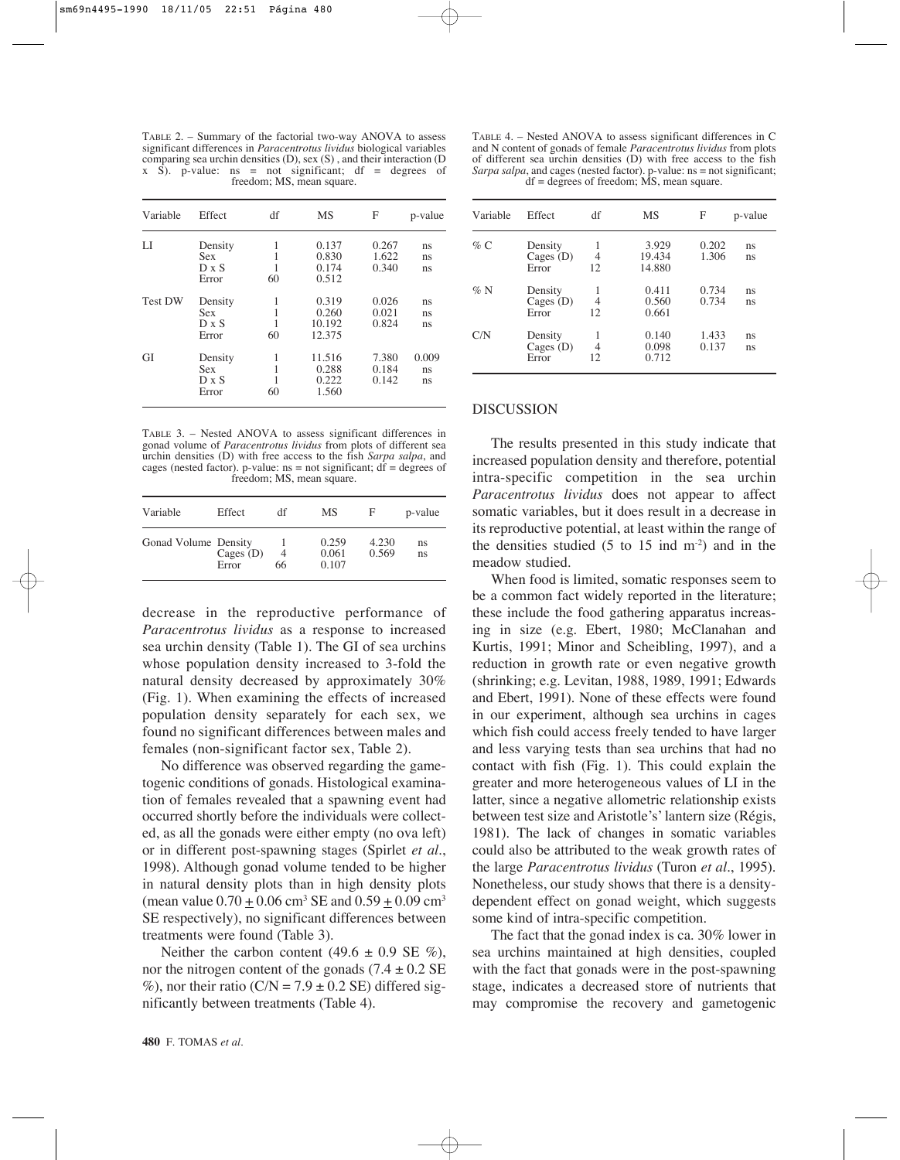TABLE 2. – Summary of the factorial two-way ANOVA to assess significant differences in *Paracentrotus lividus* biological variables comparing sea urchin densities (D), sex (S) , and their interaction (D x S). p-value:  $ns = not significant$ ;  $df = degrees of$ freedom; MS, mean square.

| Variable       | Effect                                         | df      | <b>MS</b>                          | F                       | p-value           |
|----------------|------------------------------------------------|---------|------------------------------------|-------------------------|-------------------|
| LI             | Density<br><b>Sex</b><br>$D \times S$<br>Error | 1<br>60 | 0.137<br>0.830<br>0.174<br>0.512   | 0.267<br>1.622<br>0.340 | ns<br>ns<br>ns    |
| <b>Test DW</b> | Density<br><b>Sex</b><br>$D \times S$<br>Error | 60      | 0.319<br>0.260<br>10.192<br>12.375 | 0.026<br>0.021<br>0.824 | ns<br>ns<br>ns    |
| GI             | Density<br><b>Sex</b><br>$D \times S$<br>Error | 60      | 11.516<br>0.288<br>0.222<br>1.560  | 7.380<br>0.184<br>0.142 | 0.009<br>ns<br>ns |

TABLE 3. – Nested ANOVA to assess significant differences in gonad volume of *Paracentrotus lividus* from plots of different sea urchin densities (D) with free access to the fish *Sarpa salpa*, and cages (nested factor). p-value:  $ns = not$  significant;  $df = degrees of$ freedom; MS, mean square.

| Variable             | Effect               | df                   | МS                      | F              | p-value  |
|----------------------|----------------------|----------------------|-------------------------|----------------|----------|
| Gonad Volume Density | Cages $(D)$<br>Error | $\overline{4}$<br>66 | 0.259<br>0.061<br>0.107 | 4.230<br>0.569 | ns<br>ns |

decrease in the reproductive performance of *Paracentrotus lividus* as a response to increased sea urchin density (Table 1). The GI of sea urchins whose population density increased to 3-fold the natural density decreased by approximately 30% (Fig. 1). When examining the effects of increased population density separately for each sex, we found no significant differences between males and females (non-significant factor sex, Table 2).

No difference was observed regarding the gametogenic conditions of gonads. Histological examination of females revealed that a spawning event had occurred shortly before the individuals were collected, as all the gonads were either empty (no ova left) or in different post-spawning stages (Spirlet *et al*., 1998). Although gonad volume tended to be higher in natural density plots than in high density plots (mean value  $0.70 \pm 0.06$  cm<sup>3</sup> SE and  $0.59 \pm 0.09$  cm<sup>3</sup> SE respectively), no significant differences between treatments were found (Table 3).

Neither the carbon content  $(49.6 \pm 0.9 \text{ SE } \%)$ , nor the nitrogen content of the gonads  $(7.4 \pm 0.2 \text{ SE})$ %), nor their ratio ( $C/N = 7.9 \pm 0.2$  SE) differed significantly between treatments (Table 4).

| Variable | Effect                          | df       | MS                        | F              | p-value  |
|----------|---------------------------------|----------|---------------------------|----------------|----------|
| $\%$ C   | Density<br>Cages $(D)$<br>Error | 4<br>12  | 3.929<br>19.434<br>14.880 | 0.202<br>1.306 | ns<br>ns |
| $\%$ N   | Density<br>Cages $(D)$<br>Error | 4<br>12  | 0.411<br>0.560<br>0.661   | 0.734<br>0.734 | ns<br>ns |
| C/N      | Density<br>Cages $(D)$<br>Error | 4<br>12. | 0.140<br>0.098<br>0.712   | 1.433<br>0.137 | ns<br>ns |

#### **DISCUSSION**

The results presented in this study indicate that increased population density and therefore, potential intra-specific competition in the sea urchin *Paracentrotus lividus* does not appear to affect somatic variables, but it does result in a decrease in its reproductive potential, at least within the range of the densities studied  $(5 \text{ to } 15 \text{ ind } \text{m}^{-2})$  and in the meadow studied.

When food is limited, somatic responses seem to be a common fact widely reported in the literature; these include the food gathering apparatus increasing in size (e.g. Ebert, 1980; McClanahan and Kurtis, 1991; Minor and Scheibling, 1997), and a reduction in growth rate or even negative growth (shrinking; e.g. Levitan, 1988, 1989, 1991; Edwards and Ebert, 1991). None of these effects were found in our experiment, although sea urchins in cages which fish could access freely tended to have larger and less varying tests than sea urchins that had no contact with fish (Fig. 1). This could explain the greater and more heterogeneous values of LI in the latter, since a negative allometric relationship exists between test size and Aristotle's' lantern size (Régis, 1981). The lack of changes in somatic variables could also be attributed to the weak growth rates of the large *Paracentrotus lividus* (Turon *et al.*, 1995). Nonetheless, our study shows that there is a densitydependent effect on gonad weight, which suggests some kind of intra-specific competition.

The fact that the gonad index is ca. 30% lower in sea urchins maintained at high densities, coupled with the fact that gonads were in the post-spawning stage, indicates a decreased store of nutrients that may compromise the recovery and gametogenic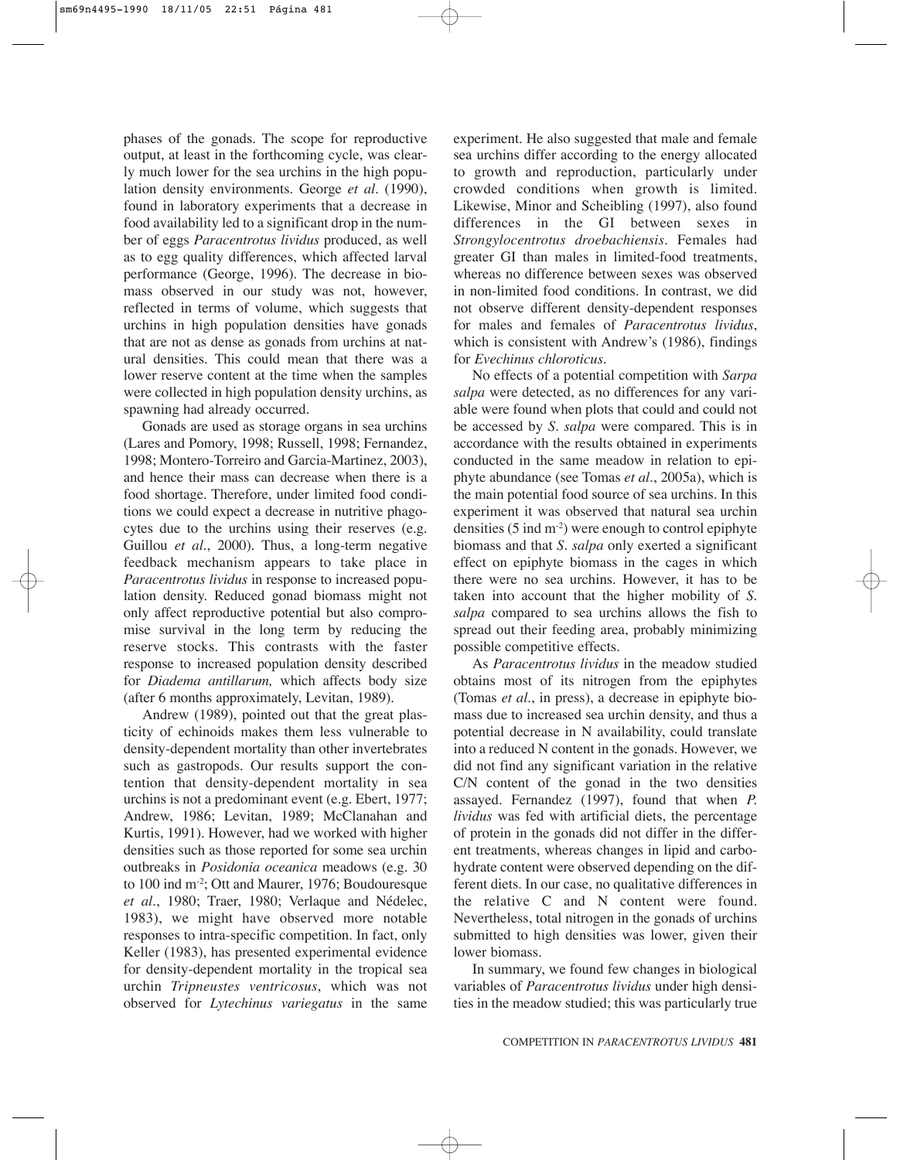phases of the gonads. The scope for reproductive output, at least in the forthcoming cycle, was clearly much lower for the sea urchins in the high population density environments. George *et al*. (1990), found in laboratory experiments that a decrease in food availability led to a significant drop in the number of eggs *Paracentrotus lividus* produced, as well as to egg quality differences, which affected larval performance (George, 1996). The decrease in biomass observed in our study was not, however, reflected in terms of volume, which suggests that urchins in high population densities have gonads that are not as dense as gonads from urchins at natural densities. This could mean that there was a lower reserve content at the time when the samples were collected in high population density urchins, as spawning had already occurred.

Gonads are used as storage organs in sea urchins (Lares and Pomory, 1998; Russell, 1998; Fernandez, 1998; Montero-Torreiro and Garcia-Martinez, 2003), and hence their mass can decrease when there is a food shortage. Therefore, under limited food conditions we could expect a decrease in nutritive phagocytes due to the urchins using their reserves (e.g. Guillou *et al*., 2000). Thus, a long-term negative feedback mechanism appears to take place in *Paracentrotus lividus* in response to increased population density. Reduced gonad biomass might not only affect reproductive potential but also compromise survival in the long term by reducing the reserve stocks. This contrasts with the faster response to increased population density described for *Diadema antillarum,* which affects body size (after 6 months approximately, Levitan, 1989).

Andrew (1989), pointed out that the great plasticity of echinoids makes them less vulnerable to density-dependent mortality than other invertebrates such as gastropods. Our results support the contention that density-dependent mortality in sea urchins is not a predominant event (e.g. Ebert, 1977; Andrew, 1986; Levitan, 1989; McClanahan and Kurtis, 1991). However, had we worked with higher densities such as those reported for some sea urchin outbreaks in *Posidonia oceanica* meadows (e.g. 30 to 100 ind m-2; Ott and Maurer, 1976; Boudouresque *et al*., 1980; Traer, 1980; Verlaque and Nédelec, 1983), we might have observed more notable responses to intra-specific competition. In fact, only Keller (1983), has presented experimental evidence for density-dependent mortality in the tropical sea urchin *Tripneustes ventricosus*, which was not observed for *Lytechinus variegatus* in the same experiment. He also suggested that male and female sea urchins differ according to the energy allocated to growth and reproduction, particularly under crowded conditions when growth is limited. Likewise, Minor and Scheibling (1997), also found differences in the GI between sexes in *Strongylocentrotus droebachiensis*. Females had greater GI than males in limited-food treatments, whereas no difference between sexes was observed in non-limited food conditions. In contrast, we did not observe different density-dependent responses for males and females of *Paracentrotus lividus*, which is consistent with Andrew's (1986), findings for *Evechinus chloroticus*.

No effects of a potential competition with *Sarpa salpa* were detected, as no differences for any variable were found when plots that could and could not be accessed by *S. salpa* were compared. This is in accordance with the results obtained in experiments conducted in the same meadow in relation to epiphyte abundance (see Tomas *et al*., 2005a), which is the main potential food source of sea urchins. In this experiment it was observed that natural sea urchin densities  $(5 \text{ ind } m^2)$  were enough to control epiphyte biomass and that *S. salpa* only exerted a significant effect on epiphyte biomass in the cages in which there were no sea urchins. However, it has to be taken into account that the higher mobility of *S. salpa* compared to sea urchins allows the fish to spread out their feeding area, probably minimizing possible competitive effects.

As *Paracentrotus lividus* in the meadow studied obtains most of its nitrogen from the epiphytes (Tomas *et al*., in press), a decrease in epiphyte biomass due to increased sea urchin density, and thus a potential decrease in N availability, could translate into a reduced N content in the gonads. However, we did not find any significant variation in the relative C/N content of the gonad in the two densities assayed. Fernandez (1997), found that when *P. lividus* was fed with artificial diets, the percentage of protein in the gonads did not differ in the different treatments, whereas changes in lipid and carbohydrate content were observed depending on the different diets. In our case, no qualitative differences in the relative C and N content were found. Nevertheless, total nitrogen in the gonads of urchins submitted to high densities was lower, given their lower biomass.

In summary, we found few changes in biological variables of *Paracentrotus lividus* under high densities in the meadow studied; this was particularly true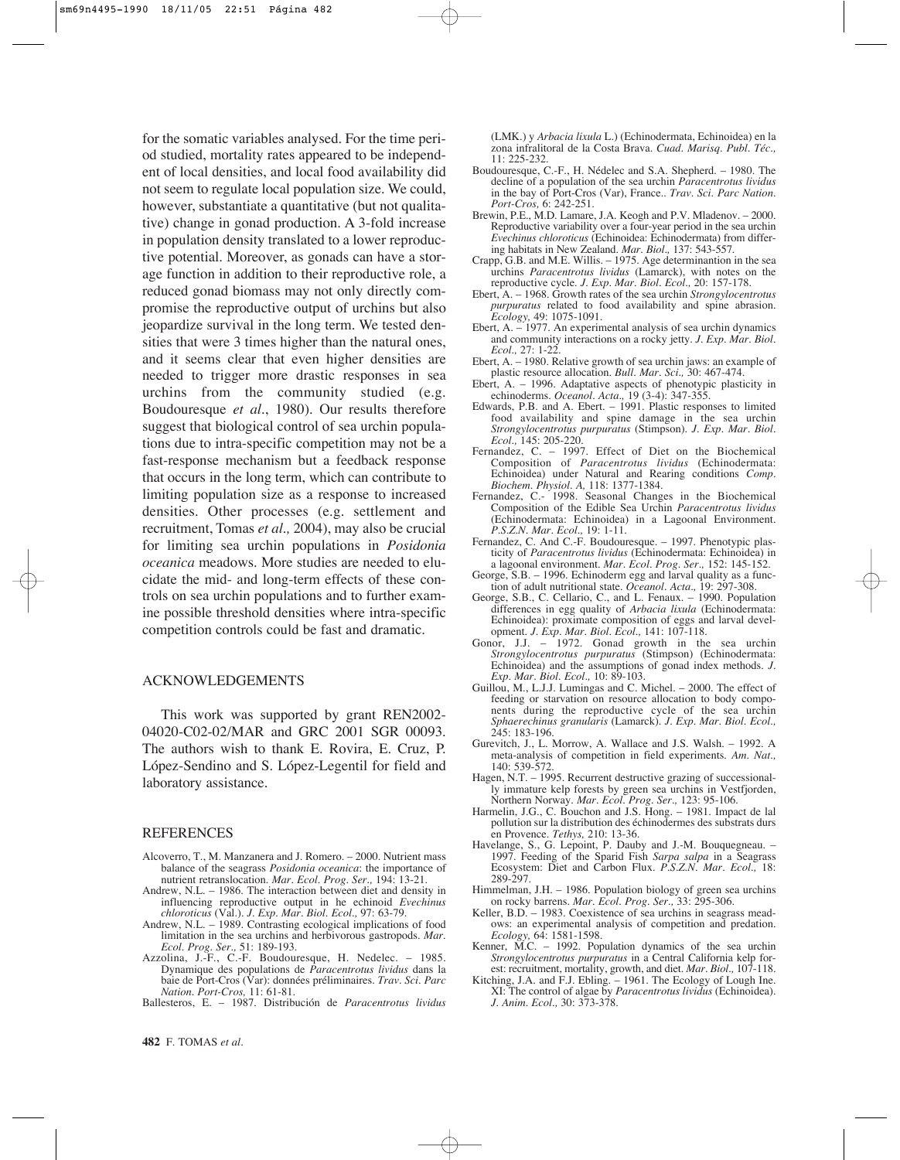for the somatic variables analysed. For the time period studied, mortality rates appeared to be independent of local densities, and local food availability did not seem to regulate local population size. We could, however, substantiate a quantitative (but not qualitative) change in gonad production. A 3-fold increase in population density translated to a lower reproductive potential. Moreover, as gonads can have a storage function in addition to their reproductive role, a reduced gonad biomass may not only directly compromise the reproductive output of urchins but also jeopardize survival in the long term. We tested densities that were 3 times higher than the natural ones, and it seems clear that even higher densities are needed to trigger more drastic responses in sea urchins from the community studied (e.g. Boudouresque *et al*., 1980). Our results therefore suggest that biological control of sea urchin populations due to intra-specific competition may not be a fast-response mechanism but a feedback response that occurs in the long term, which can contribute to limiting population size as a response to increased densities. Other processes (e.g. settlement and recruitment, Tomas *et al.,* 2004), may also be crucial for limiting sea urchin populations in *Posidonia oceanica* meadows. More studies are needed to elucidate the mid- and long-term effects of these controls on sea urchin populations and to further examine possible threshold densities where intra-specific competition controls could be fast and dramatic.

### ACKNOWLEDGEMENTS

This work was supported by grant REN2002- 04020-C02-02/MAR and GRC 2001 SGR 00093. The authors wish to thank E. Rovira, E. Cruz, P. López-Sendino and S. López-Legentil for field and laboratory assistance.

#### REFERENCES

- Alcoverro, T., M. Manzanera and J. Romero. 2000. Nutrient mass balance of the seagrass *Posidonia oceanica*: the importance of nutrient retranslocation. *Mar. Ecol. Prog. Ser.,* 194: 13-21.
- Andrew, N.L. 1986. The interaction between diet and density in influencing reproductive output in he echinoid *Evechinus chloroticus* (Val.). *J. Exp. Mar. Biol. Ecol.,* 97: 63-79.
- Andrew, N.L. 1989. Contrasting ecological implications of food limitation in the sea urchins and herbivorous gastropods. *Mar. Ecol. Prog. Ser.,* 51: 189-193.
- Azzolina, J.-F., C.-F. Boudouresque, H. Nedelec. 1985. Dynamique des populations de *Paracentrotus lividus* dans la baie de Port-Cros (Var): données préliminaires. *Trav. Sci. Parc Nation. Port-Cros,* 11: 61-81.
- Ballesteros, E. 1987. Distribución de *Paracentrotus lividus*

(LMK.) y *Arbacia lixula* L.) (Echinodermata, Echinoidea) en la zona infralitoral de la Costa Brava. *Cuad. Marisq. Publ. Téc.,*  $11: 225 - 232$ 

- Boudouresque, C.-F., H. Nédelec and S.A. Shepherd. 1980. The decline of a population of the sea urchin *Paracentrotus lividus* in the bay of Port-Cros (Var), France.. *Trav. Sci. Parc Nation. Port-Cros,* 6: 242-251.
- Brewin, P.E., M.D. Lamare, J.A. Keogh and P.V. Mladenov. 2000. Reproductive variability over a four-year period in the sea urchin *Evechinus chloroticus* (Echinoidea: Echinodermata) from differing habitats in New Zealand. *Mar. Biol.,* 137: 543-557.
- Crapp, G.B. and M.E. Willis. 1975. Age determinantion in the sea urchins *Paracentrotus lividus* (Lamarck), with notes on the reproductive cycle. *J. Exp. Mar. Biol. Ecol.,* 20: 157-178.
- Ebert, A. 1968. Growth rates of the sea urchin *Strongylocentrotus purpuratus* related to food availability and spine abrasion. *Ecology,* 49: 1075-1091.
- Ebert, A. 1977. An experimental analysis of sea urchin dynamics and community interactions on a rocky jetty. *J. Exp. Mar. Biol. Ecol.,* 27: 1-22.
- Ebert, A. 1980. Relative growth of sea urchin jaws: an example of plastic resource allocation. *Bull. Mar. Sci.,* 30: 467-474.
- Ebert, A. 1996. Adaptative aspects of phenotypic plasticity in echinoderms. *Oceanol. Acta.,* 19 (3-4): 347-355.
- Edwards, P.B. and A. Ebert. 1991. Plastic responses to limited food availability and spine damage in the sea urchin *Strongylocentrotus purpuratus* (Stimpson). *J. Exp. Mar. Biol. Ecol.,* 145: 205-220.
- Fernandez, C. 1997. Effect of Diet on the Biochemical Composition of *Paracentrotus lividus* (Echinodermata: Echinoidea) under Natural and Rearing conditions *Comp. Biochem. Physiol. A,* 118: 1377-1384.
- Fernandez, C.- 1998. Seasonal Changes in the Biochemical Composition of the Edible Sea Urchin *Paracentrotus lividus* (Echinodermata: Echinoidea) in a Lagoonal Environment. *P.S.Z.N. Mar. Ecol.,* 19: 1-11.
- Fernandez, C. And C.-F. Boudouresque. 1997. Phenotypic plasticity of *Paracentrotus lividus* (Echinodermata: Echinoidea) in a lagoonal environment. *Mar. Ecol. Prog. Ser.,* 152: 145-152.
- George, S.B. 1996. Echinoderm egg and larval quality as a function of adult nutritional state. *Oceanol. Acta.,* 19: 297-308.
- George, S.B., C. Cellario, C., and L. Fenaux. 1990. Population differences in egg quality of *Arbacia lixula* (Echinodermata: Echinoidea): proximate composition of eggs and larval development. *J. Exp. Mar. Biol. Ecol.,* 141: 107-118.
- Gonor, J.J. 1972. Gonad growth in the sea urchin *Strongylocentrotus purpuratus* (Stimpson) (Echinodermata: Echinoidea) and the assumptions of gonad index methods. *J. Exp. Mar. Biol. Ecol.,* 10: 89-103.
- Guillou, M., L.J.J. Lumingas and C. Michel. 2000. The effect of feeding or starvation on resource allocation to body components during the reproductive cycle of the sea urchin *Sphaerechinus granularis* (Lamarck). *J. Exp. Mar. Biol. Ecol.,* 245: 183-196.
- Gurevitch, J., L. Morrow, A. Wallace and J.S. Walsh. 1992. A meta-analysis of competition in field experiments. *Am. Nat.,* 140: 539-572.
- Hagen, N.T. 1995. Recurrent destructive grazing of successionally immature kelp forests by green sea urchins in Vestfjorden, Northern Norway. *Mar. Ecol. Prog. Ser.,* 123: 95-106.
- Harmelin, J.G., C. Bouchon and J.S. Hong. 1981. Impact de lal pollution sur la distribution des échinodermes des substrats durs en Provence. *Tethys,* 210: 13-36.
- Havelange, S., G. Lepoint, P. Dauby and J.-M. Bouquegneau. 1997. Feeding of the Sparid Fish *Sarpa salpa* in a Seagrass Ecosystem: Diet and Carbon Flux. *P.S.Z.N. Mar. Ecol.,* 18: 289-297.
- Himmelman, J.H. 1986. Population biology of green sea urchins on rocky barrens. *Mar. Ecol. Prog. Ser.,* 33: 295-306.
- Keller, B.D. 1983. Coexistence of sea urchins in seagrass meadows: an experimental analysis of competition and predation. *Ecology,* 64: 1581-1598.
- Kenner, M.C. 1992. Population dynamics of the sea urchin *Strongylocentrotus purpuratus* in a Central California kelp forest: recruitment, mortality, growth, and diet. *Mar. Biol.,* 107-118.
- Kitching, J.A. and F.J. Ebling. 1961. The Ecology of Lough Ine. XI: The control of algae by *Paracentrotus lividus* (Echinoidea). *J. Anim. Ecol.,* 30: 373-378.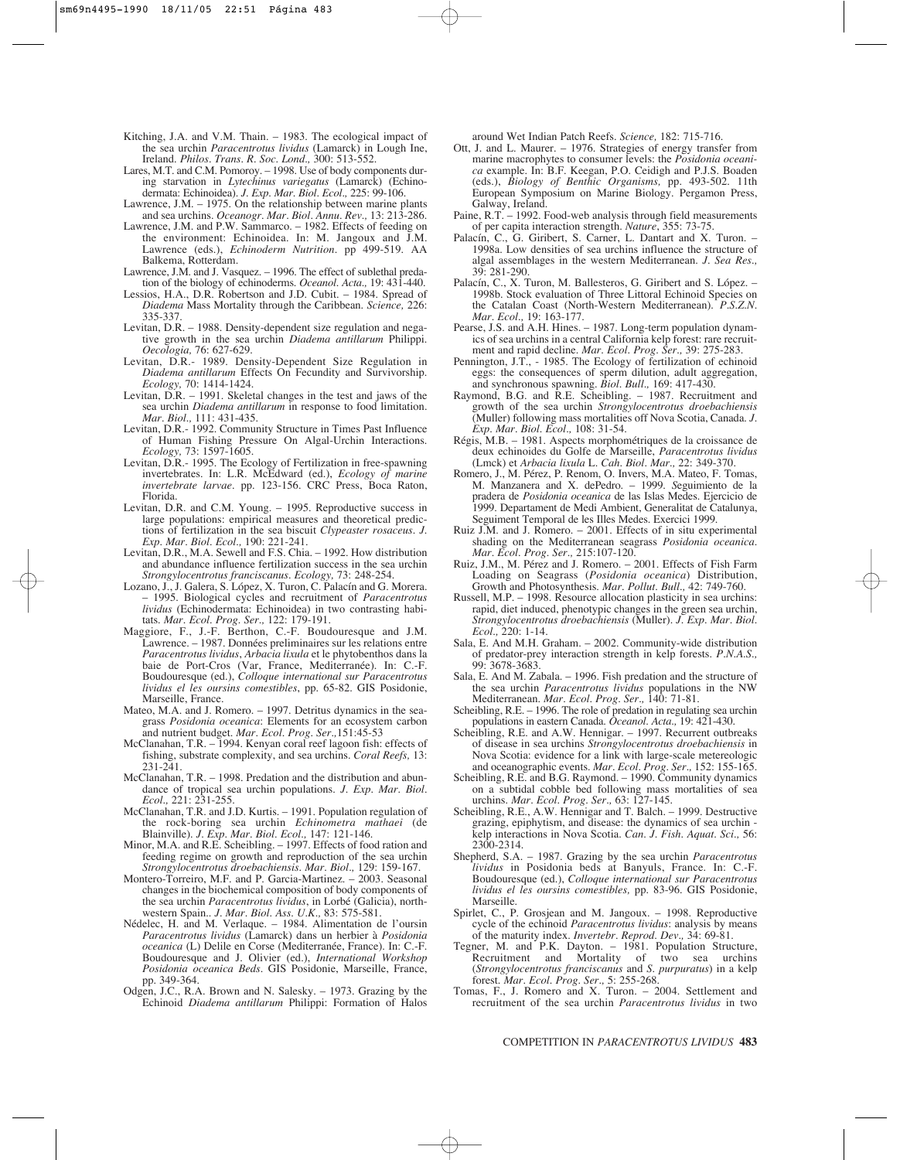- Kitching, J.A. and V.M. Thain. 1983. The ecological impact of the sea urchin *Paracentrotus lividus* (Lamarck) in Lough Ine, Ireland. *Philos. Trans. R. Soc. Lond.,* 300: 513-552.
- Lares, M.T. and C.M. Pomoroy. 1998. Use of body components during starvation in *Lytechinus variegatus* (Lamarck) (Echinodermata: Echinoidea). *J. Exp. Mar. Biol. Ecol.,* 225: 99-106.
- Lawrence, J.M. 1975. On the relationship between marine plants and sea urchins. *Oceanogr. Mar. Biol. Annu. Rev.,* 13: 213-286.
- Lawrence, J.M. and P.W. Sammarco. 1982. Effects of feeding on the environment: Echinoidea. In: M. Jangoux and J.M. Lawrence (eds.), *Echinoderm Nutrition.* pp 499-519. AA Balkema, Rotterdam.
- Lawrence, J.M. and J. Vasquez. 1996. The effect of sublethal predation of the biology of echinoderms. *Oceanol. Acta.,* 19: 431-440.
- Lessios, H.A., D.R. Robertson and J.D. Cubit. 1984. Spread of *Diadema* Mass Mortality through the Caribbean. *Science,* 226: 335-337.
- Levitan, D.R. 1988. Density-dependent size regulation and negative growth in the sea urchin *Diadema antillarum* Philippi. *Oecologia,* 76: 627-629.
- Levitan, D.R.- 1989. Density-Dependent Size Regulation in *Diadema antillarum* Effects On Fecundity and Survivorship. *Ecology,* 70: 1414-1424.
- Levitan,  $\overrightarrow{D.R.}$  1991. Skeletal changes in the test and jaws of the sea urchin *Diadema antillarum* in response to food limitation. *Mar. Biol.,* 111: 431-435.
- Levitan, D.R.- 1992. Community Structure in Times Past Influence of Human Fishing Pressure On Algal-Urchin Interactions. *Ecology,* 73: 1597-1605.
- Levitan, D.R.- 1995. The Ecology of Fertilization in free-spawning invertebrates. In: L.R. McEdward (ed.), *Ecology of marine invertebrate larvae*. pp. 123-156. CRC Press, Boca Raton, Florida.
- Levitan, D.R. and C.M. Young. 1995. Reproductive success in large populations: empirical measures and theoretical predictions of fertilization in the sea biscuit *Clypeaster rosaceus*. *J. Exp. Mar. Biol. Ecol.,* 190: 221-241.
- Levitan, D.R., M.A. Sewell and F.S. Chia. 1992. How distribution and abundance influence fertilization success in the sea urchin *Strongylocentrotus franciscanus*. *Ecology,* 73: 248-254.
- Lozano, J., J. Galera, S. López, X. Turon, C. Palacín and G. Morera. – 1995. Biological cycles and recruitment of *Paracentrotus lividus* (Echinodermata: Echinoidea) in two contrasting habitats. *Mar. Ecol. Prog. Ser.,* 122: 179-191.
- Maggiore, F., J.-F. Berthon, C.-F. Boudouresque and J.M. Lawrence. – 1987. Données preliminaires sur les relations entre *Paracentrotus lividus*, *Arbacia lixula* et le phytobenthos dans la baie de Port-Cros (Var, France, Mediterranée). In: C.-F. Boudouresque (ed.), *Colloque international sur Paracentrotus lividus el les oursins comestibles*, pp. 65-82. GIS Posidonie, Marseille, France.
- Mateo, M.A. and J. Romero. 1997. Detritus dynamics in the seagrass *Posidonia oceanica*: Elements for an ecosystem carbon and nutrient budget. *Mar. Ecol. Prog. Ser.,*151:45-53
- McClanahan, T.R. 1994. Kenyan coral reef lagoon fish: effects of fishing, substrate complexity, and sea urchins. *Coral Reefs,* 13: 231-241.
- McClanahan, T.R. 1998. Predation and the distribution and abundance of tropical sea urchin populations. *J. Exp. Mar. Biol. Ecol.,* 221: 231-255.
- McClanahan, T.R. and J.D. Kurtis. 1991. Population regulation of the rock-boring sea urchin *Echinometra mathaei* (de Blainville). *J. Exp. Mar. Biol. Ecol.,* 147: 121-146.
- Minor, M.A. and R.E. Scheibling. 1997. Effects of food ration and feeding regime on growth and reproduction of the sea urchin *Strongylocentrotus droebachiensis*. *Mar. Biol.,* 129: 159-167.
- Montero-Torreiro, M.F. and P. Garcia-Martinez. 2003. Seasonal changes in the biochemical composition of body components of the sea urchin *Paracentrotus lividus*, in Lorbé (Galicia), northwestern Spain.. *J. Mar. Biol. Ass. U.K.,* 83: 575-581.
- Nédelec, H. and M. Verlaque. 1984. Alimentation de l'oursin *Paracentrotus lividus* (Lamarck) dans un herbier à *Posidonia oceanica* (L) Delile en Corse (Mediterranée, France). In: C.-F. Boudouresque and J. Olivier (ed.), *International Workshop Posidonia oceanica Beds.* GIS Posidonie, Marseille, France, pp. 349-364.
- Odgen, J.C., R.A. Brown and N. Salesky. 1973. Grazing by the Echinoid *Diadema antillarum* Philippi: Formation of Halos

around Wet Indian Patch Reefs. *Science,* 182: 715-716.

- Ott, J. and L. Maurer. 1976. Strategies of energy transfer from marine macrophytes to consumer levels: the *Posidonia oceanica* example. In: B.F. Keegan, P.O. Ceidigh and P.J.S. Boaden (eds.), *Biology of Benthic Organisms,* pp. 493-502. 11th European Symposium on Marine Biology. Pergamon Press, Galway, Ireland.
- Paine, R.T. 1992. Food-web analysis through field measurements of per capita interaction strength. *Nature*, 355: 73-75.
- Palacín, C., G. Giribert, S. Carner, L. Dantart and X. Turon. 1998a. Low densities of sea urchins influence the structure of algal assemblages in the western Mediterranean. *J. Sea Res.,* 39: 281-290.
- Palacín, C., X. Turon, M. Ballesteros, G. Giribert and S. López. 1998b. Stock evaluation of Three Littoral Echinoid Species on the Catalan Coast (North-Western Mediterranean). *P.S.Z.N. Mar. Ecol.,* 19: 163-177.
- Pearse, J.S. and A.H. Hines. 1987. Long-term population dynamics of sea urchins in a central California kelp forest: rare recruitment and rapid decline. *Mar. Ecol. Prog. Ser.,* 39: 275-283.
- Pennington, J.T., 1985. The Ecology of fertilization of echinoid eggs: the consequences of sperm dilution, adult aggregation, and synchronous spawning. *Biol. Bull.,* 169: 417-430.
- Raymond, B.G. and R.E. Scheibling. 1987. Recruitment and growth of the sea urchin *Strongylocentrotus droebachiensis* (Muller) following mass mortalities off Nova Scotia, Canada. *J. Exp. Mar. Biol. Ecol.,* 108: 31-54.
- Régis, M.B. 1981. Aspects morphométriques de la croissance de deux echinoides du Golfe de Marseille, *Paracentrotus lividus* (Lmck) et *Arbacia lixula* L. *Cah. Biol. Mar.,* 22: 349-370.
- Romero, J., M. Pérez, P. Renom, O. Invers, M.A. Mateo, F. Tomas, M. Manzanera and X. dePedro. – 1999. *S*eguimiento de la pradera de *Posidonia oceanica* de las Islas Medes. Ejercicio de 1999. Departament de Medi Ambient, Generalitat de Catalunya, Seguiment Temporal de les Illes Medes. Exercici 1999.
- Ruiz J.M. and J. Romero. 2001. Effects of in situ experimental shading on the Mediterranean seagrass *Posidonia oceanica*. *Mar. Ecol. Prog. Ser.,* 215:107-120.
- Ruiz, J.M., M. Pérez and J. Romero. 2001. Effects of Fish Farm Loading on Seagrass (*Posidonia oceanica*) Distribution, Growth and Photosynthesis. *Mar. Pollut. Bull.,* 42: 749-760.
- Russell, M.P. 1998. Resource allocation plasticity in sea urchins: rapid, diet induced, phenotypic changes in the green sea urchin, *Strongylocentrotus droebachiensis* (Muller). *J. Exp. Mar. Biol. Ecol.,* 220: 1-14.
- Sala, E. And M.H. Graham. 2002. Community-wide distribution of predator-prey interaction strength in kelp forests. *P.N.A.S.,* 99: 3678-3683.
- Sala, E. And M. Zabala. 1996. Fish predation and the structure of the sea urchin *Paracentrotus lividus* populations in the NW Mediterranean. *Mar. Ecol. Prog. Ser.,* 140: 71-81.
- Scheibling, R.E. 1996. The role of predation in regulating sea urchin populations in eastern Canada. *Oceanol. Acta.,* 19: 421-430.
- Scheibling, R.E. and A.W. Hennigar. 1997. Recurrent outbreaks of disease in sea urchins *Strongylocentrotus droebachiensis* in Nova Scotia: evidence for a link with large-scale metereologic and oceanographic events. *Mar. Ecol. Prog. Ser.,* 152: 155-165.
- Scheibling, R.E. and B.G. Raymond. 1990. Community dynamics on a subtidal cobble bed following mass mortalities of sea urchins. *Mar. Ecol. Prog. Ser.,* 63: 127-145.
- Scheibling, R.E., A.W. Hennigar and T. Balch. 1999. Destructive grazing, epiphytism, and disease: the dynamics of sea urchin kelp interactions in Nova Scotia. *Can. J. Fish. Aquat. Sci.,* 56: 2300-2314.
- Shepherd, S.A. 1987. Grazing by the sea urchin *Paracentrotus lividus* in Posidonia beds at Banyuls, France. In: C.-F. Boudouresque (ed.), *Colloque international sur Paracentrotus lividus el les oursins comestibles,* pp. 83-96. GIS Posidonie, Marseille.
- Spirlet, C., P. Grosjean and M. Jangoux. 1998. Reproductive cycle of the echinoid *Paracentrotus lividus*: analysis by means of the maturity index. *Invertebr. Reprod. Dev.,* 34: 69-81.
- Tegner, M. and P.K. Dayton. 1981. Population Structure, Recruitment and Mortality of two sea urchins (*Strongylocentrotus franciscanus* and *S. purpuratus*) in a kelp forest. *Mar. Ecol. Prog. Ser.,* 5: 255-268.
- Tomas, F., J. Romero and X. Turon. 2004. Settlement and recruitment of the sea urchin *Paracentrotus lividus* in two